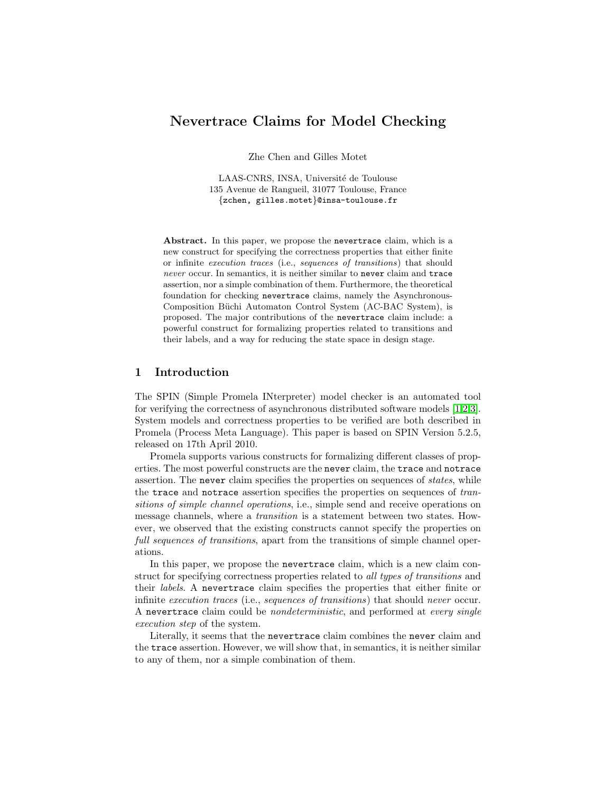# Nevertrace Claims for Model Checking

Zhe Chen and Gilles Motet

LAAS-CNRS, INSA, Université de Toulouse 135 Avenue de Rangueil, 31077 Toulouse, France {zchen, gilles.motet}@insa-toulouse.fr

Abstract. In this paper, we propose the nevertrace claim, which is a new construct for specifying the correctness properties that either finite or infinite execution traces (i.e., sequences of transitions) that should never occur. In semantics, it is neither similar to never claim and trace assertion, nor a simple combination of them. Furthermore, the theoretical foundation for checking nevertrace claims, namely the Asynchronous-Composition Büchi Automaton Control System (AC-BAC System), is proposed. The major contributions of the nevertrace claim include: a powerful construct for formalizing properties related to transitions and their labels, and a way for reducing the state space in design stage.

## 1 Introduction

The SPIN (Simple Promela INterpreter) model checker is an automated tool for verifying the correctness of asynchronous distributed software models [\[1,](#page-16-0)[2,](#page-16-1)[3\]](#page-16-2). System models and correctness properties to be verified are both described in Promela (Process Meta Language). This paper is based on SPIN Version 5.2.5, released on 17th April 2010.

Promela supports various constructs for formalizing different classes of properties. The most powerful constructs are the never claim, the trace and notrace assertion. The never claim specifies the properties on sequences of *states*, while the trace and notrace assertion specifies the properties on sequences of transitions of simple channel operations, i.e., simple send and receive operations on message channels, where a transition is a statement between two states. However, we observed that the existing constructs cannot specify the properties on full sequences of transitions, apart from the transitions of simple channel operations.

In this paper, we propose the nevertrace claim, which is a new claim construct for specifying correctness properties related to all types of transitions and their labels. A nevertrace claim specifies the properties that either finite or infinite execution traces (i.e., sequences of transitions) that should never occur. A nevertrace claim could be nondeterministic, and performed at every single execution step of the system.

Literally, it seems that the nevertrace claim combines the never claim and the trace assertion. However, we will show that, in semantics, it is neither similar to any of them, nor a simple combination of them.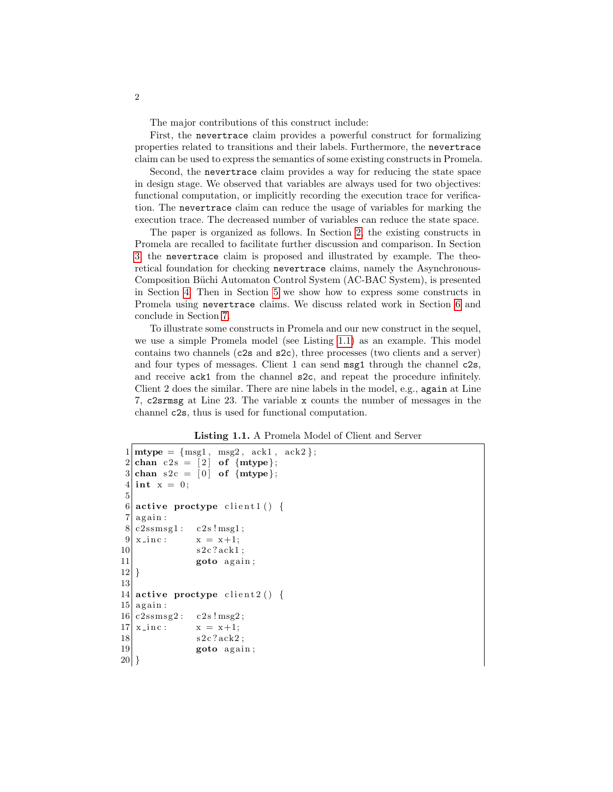The major contributions of this construct include:

First, the nevertrace claim provides a powerful construct for formalizing properties related to transitions and their labels. Furthermore, the nevertrace claim can be used to express the semantics of some existing constructs in Promela.

Second, the nevertrace claim provides a way for reducing the state space in design stage. We observed that variables are always used for two objectives: functional computation, or implicitly recording the execution trace for verification. The nevertrace claim can reduce the usage of variables for marking the execution trace. The decreased number of variables can reduce the state space.

The paper is organized as follows. In Section [2,](#page-2-0) the existing constructs in Promela are recalled to facilitate further discussion and comparison. In Section [3,](#page-4-0) the nevertrace claim is proposed and illustrated by example. The theoretical foundation for checking nevertrace claims, namely the Asynchronous-Composition Büchi Automaton Control System (AC-BAC System), is presented in Section [4.](#page-8-0) Then in Section [5](#page-12-0) we show how to express some constructs in Promela using nevertrace claims. We discuss related work in Section [6](#page-15-0) and conclude in Section [7.](#page-16-3)

To illustrate some constructs in Promela and our new construct in the sequel, we use a simple Promela model (see Listing [1.1\)](#page-1-0) as an example. This model contains two channels (c2s and s2c), three processes (two clients and a server) and four types of messages. Client 1 can send msg1 through the channel c2s, and receive ack1 from the channel s2c, and repeat the procedure infinitely. Client 2 does the similar. There are nine labels in the model, e.g., again at Line 7, c2srmsg at Line 23. The variable x counts the number of messages in the channel c2s, thus is used for functional computation.

Listing 1.1. A Promela Model of Client and Server

```
1 \mid \text{mtype} = \{ \text{msg1}, \text{msg2}, \text{ack1}, \text{ack2} \};2 \vert chan c 2s = \vert 2 \vert of \{mtype\};3 \text{ chan } s2c = [0] \text{ of } \{mtype\};4 int x = 0;
 5
 6 active proctype client1() {
 7 | \text{ again}:8| c2ssmsg1: c2s ! msg1;
 9 x = x+1;10 s 2c ? ack 1;
11 goto again;
|12|13
14 active proctype client 2() {
15 again:
16|c2 \text{ssmsg2}: c2 \text{s}! \text{msg2};17 \mid x \text{ in } c : x = x + 1;18 s 2c ? ack2;
19 goto again;
20 }
```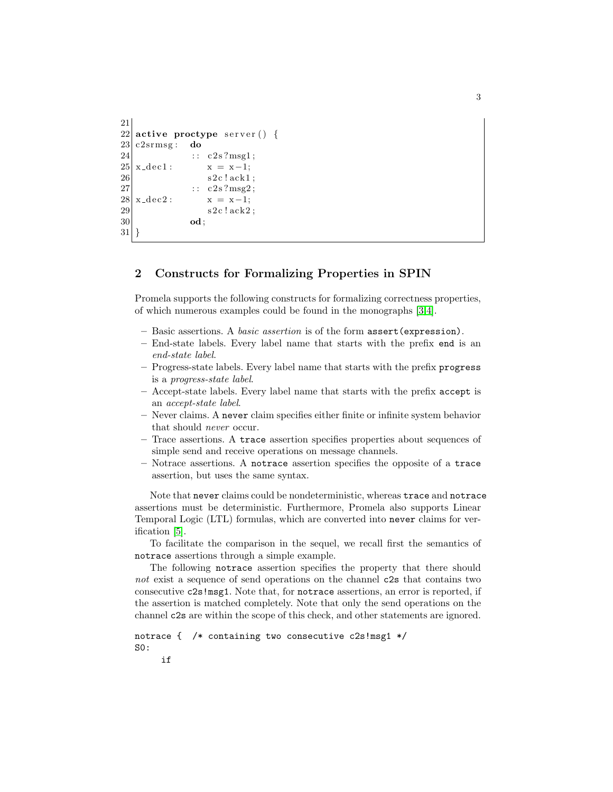```
21
22 active proctype server () {
23| c2srmsg: do
24 : c2s?msg1;
25 \mid x \text{--} \text{dec} 1 : x = x-1;26 s 2c ! ack1;
27 : c2s?msg2;
28 \mid x \text{--} \text{dec} 2 : x = x-1;29 s 2 \text{c} ! \text{ack} 2;
30 od;
31 }
```
# <span id="page-2-0"></span>2 Constructs for Formalizing Properties in SPIN

Promela supports the following constructs for formalizing correctness properties, of which numerous examples could be found in the monographs [\[3,](#page-16-2)[4\]](#page-16-4).

- Basic assertions. A basic assertion is of the form assert(expression).
- End-state labels. Every label name that starts with the prefix end is an end-state label.
- Progress-state labels. Every label name that starts with the prefix progress is a progress-state label.
- Accept-state labels. Every label name that starts with the prefix accept is an accept-state label.
- Never claims. A never claim specifies either finite or infinite system behavior that should never occur.
- Trace assertions. A trace assertion specifies properties about sequences of simple send and receive operations on message channels.
- Notrace assertions. A notrace assertion specifies the opposite of a trace assertion, but uses the same syntax.

Note that never claims could be nondeterministic, whereas trace and notrace assertions must be deterministic. Furthermore, Promela also supports Linear Temporal Logic (LTL) formulas, which are converted into never claims for verification [\[5\]](#page-16-5).

To facilitate the comparison in the sequel, we recall first the semantics of notrace assertions through a simple example.

The following notrace assertion specifies the property that there should not exist a sequence of send operations on the channel c2s that contains two consecutive c2s!msg1. Note that, for notrace assertions, an error is reported, if the assertion is matched completely. Note that only the send operations on the channel c2s are within the scope of this check, and other statements are ignored.

```
notrace { /* containing two consecutive c2s!msg1 */
S0:
```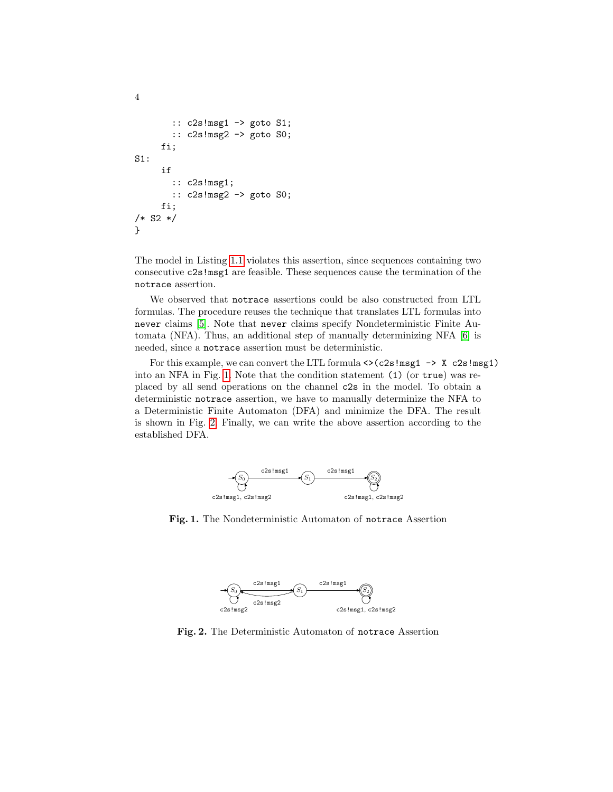```
:: c2s!msg1 -> goto S1;
       :: c2s!msg2 -> goto S0;
     fi;
S1:
     if
       :: c2s!msg1;
       :: c2s!msg2 -> goto S0;
     fi;
/* S2 */
}
```
4

The model in Listing [1.1](#page-1-0) violates this assertion, since sequences containing two consecutive c2s!msg1 are feasible. These sequences cause the termination of the notrace assertion.

We observed that notrace assertions could be also constructed from LTL formulas. The procedure reuses the technique that translates LTL formulas into never claims [\[5\]](#page-16-5). Note that never claims specify Nondeterministic Finite Automata (NFA). Thus, an additional step of manually determinizing NFA [\[6\]](#page-16-6) is needed, since a notrace assertion must be deterministic.

For this example, we can convert the LTL formula  $\langle \rangle$  (c2s!msg1  $\rightarrow$  X c2s!msg1) into an NFA in Fig. [1.](#page-3-0) Note that the condition statement (1) (or true) was replaced by all send operations on the channel c2s in the model. To obtain a deterministic notrace assertion, we have to manually determinize the NFA to a Deterministic Finite Automaton (DFA) and minimize the DFA. The result is shown in Fig. [2.](#page-3-1) Finally, we can write the above assertion according to the established DFA.



<span id="page-3-0"></span>Fig. 1. The Nondeterministic Automaton of notrace Assertion



<span id="page-3-1"></span>Fig. 2. The Deterministic Automaton of notrace Assertion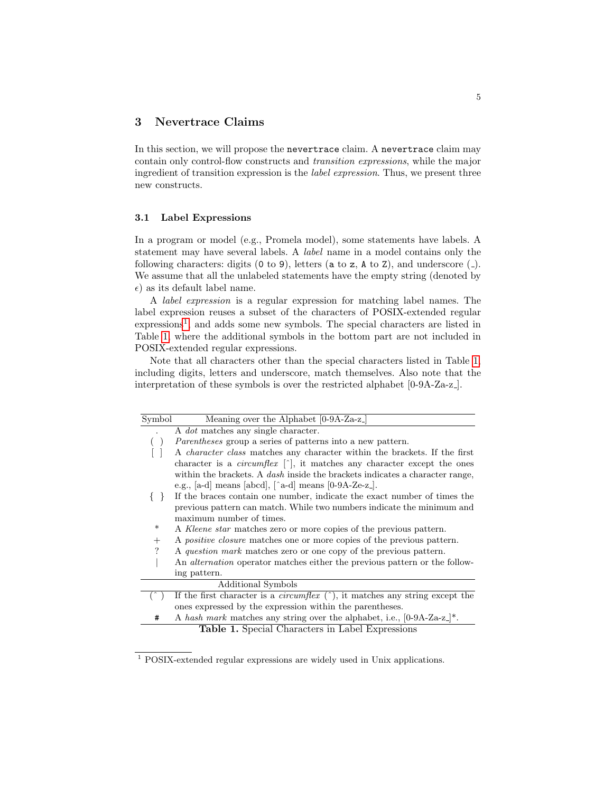## <span id="page-4-0"></span>3 Nevertrace Claims

In this section, we will propose the nevertrace claim. A nevertrace claim may contain only control-flow constructs and transition expressions, while the major ingredient of transition expression is the label expression. Thus, we present three new constructs.

#### 3.1 Label Expressions

In a program or model (e.g., Promela model), some statements have labels. A statement may have several labels. A label name in a model contains only the following characters: digits  $(0 \text{ to } 9)$ , letters  $(a \text{ to } z, A \text{ to } Z)$ , and underscore  $($ . We assume that all the unlabeled statements have the empty string (denoted by  $\epsilon$ ) as its default label name.

A label expression is a regular expression for matching label names. The label expression reuses a subset of the characters of POSIX-extended regular expressions<sup>[1](#page-4-1)</sup>, and adds some new symbols. The special characters are listed in Table [1,](#page-4-2) where the additional symbols in the bottom part are not included in POSIX-extended regular expressions.

Note that all characters other than the special characters listed in Table [1,](#page-4-2) including digits, letters and underscore, match themselves. Also note that the interpretation of these symbols is over the restricted alphabet [0-9A-Za-z ].

| $\overline{\text{Symbol}}$ | Meaning over the Alphabet $[0-9A-Za-z]$                                                                     |
|----------------------------|-------------------------------------------------------------------------------------------------------------|
|                            | A <i>dot</i> matches any single character.                                                                  |
|                            | <i>Parentheses</i> group a series of patterns into a new pattern.                                           |
|                            | A <i>character class</i> matches any character within the brackets. If the first                            |
|                            | character is a <i>circumflex</i> $\lceil \cdot \rceil$ , it matches any character except the ones           |
|                            | within the brackets. A dash inside the brackets indicates a character range,                                |
|                            | e.g., [a-d] means [abcd], $\lfloor \hat{a} \cdot d \rfloor$ means $\lfloor 0.9A \cdot Ze \cdot z \rfloor$ . |
| 3 F                        | If the braces contain one number, indicate the exact number of times the                                    |
|                            | previous pattern can match. While two numbers indicate the minimum and                                      |
|                            | maximum number of times.                                                                                    |
| ∗                          | A Kleene star matches zero or more copies of the previous pattern.                                          |
| $^{+}$                     | A <i>positive closure</i> matches one or more copies of the previous pattern.                               |
| ?                          | A question mark matches zero or one copy of the previous pattern.                                           |
|                            | An <i>alternation</i> operator matches either the previous pattern or the follow-                           |
|                            | ing pattern.                                                                                                |
|                            | Additional Symbols                                                                                          |
|                            | If the first character is a <i>circumflex</i> $(\hat{\ })$ , it matches any string except the               |
|                            | ones expressed by the expression within the parentheses.                                                    |
| #                          | A hash mark matches any string over the alphabet, i.e., $[0-9A-Za-z]^*$ .                                   |
|                            | Table 1. Special Characters in Label Expressions                                                            |

<span id="page-4-2"></span><span id="page-4-1"></span><sup>1</sup> POSIX-extended regular expressions are widely used in Unix applications.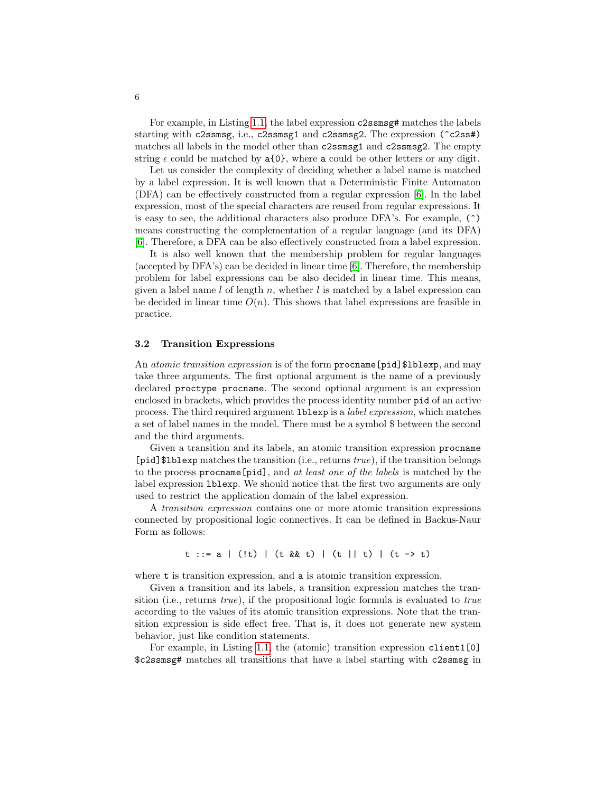For example, in Listing [1.1,](#page-1-0) the label expression c2ssmsg# matches the labels starting with c2ssmsg, i.e., c2ssmsg1 and c2ssmsg2. The expression (^c2ss#) matches all labels in the model other than c2ssmsg1 and c2ssmsg2. The empty string  $\epsilon$  could be matched by a{0}, where a could be other letters or any digit.

Let us consider the complexity of deciding whether a label name is matched by a label expression. It is well known that a Deterministic Finite Automaton (DFA) can be effectively constructed from a regular expression [\[6\]](#page-16-6). In the label expression, most of the special characters are reused from regular expressions. It is easy to see, the additional characters also produce DFA's. For example, (^) means constructing the complementation of a regular language (and its DFA) [\[6\]](#page-16-6). Therefore, a DFA can be also effectively constructed from a label expression.

It is also well known that the membership problem for regular languages (accepted by DFA's) can be decided in linear time [\[6\]](#page-16-6). Therefore, the membership problem for label expressions can be also decided in linear time. This means, given a label name l of length n, whether l is matched by a label expression can be decided in linear time  $O(n)$ . This shows that label expressions are feasible in practice.

#### 3.2 Transition Expressions

An *atomic transition expression* is of the form **procname** [pid] \$1blexp, and may take three arguments. The first optional argument is the name of a previously declared proctype procname. The second optional argument is an expression enclosed in brackets, which provides the process identity number pid of an active process. The third required argument lblexp is a label expression, which matches a set of label names in the model. There must be a symbol \$ between the second and the third arguments.

Given a transition and its labels, an atomic transition expression procname [pid]\$lblexp matches the transition (i.e., returns true), if the transition belongs to the process procname [pid], and at least one of the labels is matched by the label expression lblexp. We should notice that the first two arguments are only used to restrict the application domain of the label expression.

A transition expression contains one or more atomic transition expressions connected by propositional logic connectives. It can be defined in Backus-Naur Form as follows:

t ::= a | (!t) | (t && t) | (t || t) | (t -> t)

where  $t$  is transition expression, and a is atomic transition expression.

Given a transition and its labels, a transition expression matches the transition (i.e., returns true), if the propositional logic formula is evaluated to true according to the values of its atomic transition expressions. Note that the transition expression is side effect free. That is, it does not generate new system behavior, just like condition statements.

For example, in Listing [1.1,](#page-1-0) the (atomic) transition expression client1[0] \$c2ssmsg# matches all transitions that have a label starting with c2ssmsg in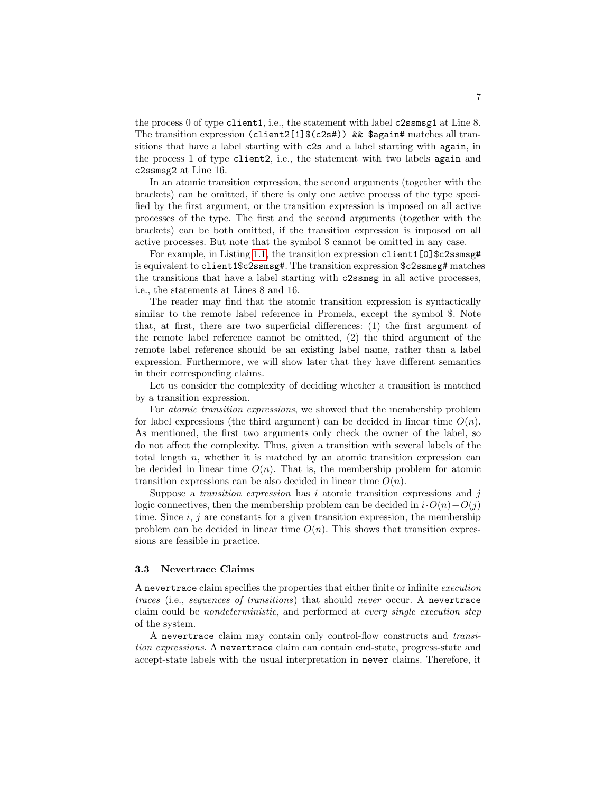the process 0 of type client1, i.e., the statement with label c2ssmsg1 at Line 8. The transition expression (client2[1]\$(c2s#)) && \$again# matches all transitions that have a label starting with c2s and a label starting with again, in the process 1 of type client2, i.e., the statement with two labels again and c2ssmsg2 at Line 16.

In an atomic transition expression, the second arguments (together with the brackets) can be omitted, if there is only one active process of the type specified by the first argument, or the transition expression is imposed on all active processes of the type. The first and the second arguments (together with the brackets) can be both omitted, if the transition expression is imposed on all active processes. But note that the symbol \$ cannot be omitted in any case.

For example, in Listing [1.1,](#page-1-0) the transition expression client1[0] $$c2ssmsg\ddagger$ is equivalent to client1\$c2ssmsg#. The transition expression \$c2ssmsg# matches the transitions that have a label starting with c2ssmsg in all active processes, i.e., the statements at Lines 8 and 16.

The reader may find that the atomic transition expression is syntactically similar to the remote label reference in Promela, except the symbol \$. Note that, at first, there are two superficial differences: (1) the first argument of the remote label reference cannot be omitted, (2) the third argument of the remote label reference should be an existing label name, rather than a label expression. Furthermore, we will show later that they have different semantics in their corresponding claims.

Let us consider the complexity of deciding whether a transition is matched by a transition expression.

For atomic transition expressions, we showed that the membership problem for label expressions (the third argument) can be decided in linear time  $O(n)$ . As mentioned, the first two arguments only check the owner of the label, so do not affect the complexity. Thus, given a transition with several labels of the total length  $n$ , whether it is matched by an atomic transition expression can be decided in linear time  $O(n)$ . That is, the membership problem for atomic transition expressions can be also decided in linear time  $O(n)$ .

Suppose a *transition expression* has i atomic transition expressions and j logic connectives, then the membership problem can be decided in  $i \cdot O(n) + O(j)$ time. Since  $i, j$  are constants for a given transition expression, the membership problem can be decided in linear time  $O(n)$ . This shows that transition expressions are feasible in practice.

#### 3.3 Nevertrace Claims

A nevertrace claim specifies the properties that either finite or infinite execution traces (i.e., sequences of transitions) that should never occur. A nevertrace claim could be nondeterministic, and performed at every single execution step of the system.

A nevertrace claim may contain only control-flow constructs and transition expressions. A nevertrace claim can contain end-state, progress-state and accept-state labels with the usual interpretation in never claims. Therefore, it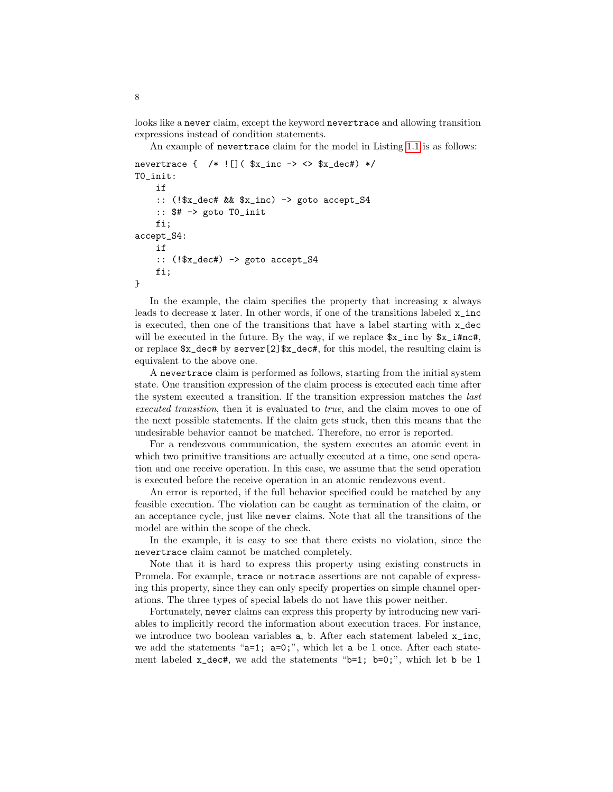looks like a never claim, except the keyword nevertrace and allowing transition expressions instead of condition statements.

An example of nevertrace claim for the model in Listing [1.1](#page-1-0) is as follows:

```
nevertrace \{ /* \mid [] ( x_inc -> <> x_dec#) */
T0_init:
    if
    :: (!$x_dec# && $x_inc) -> goto accept_S4
    :: $# -> goto T0_init
    fi;
accept_S4:
    if
    :: (!$x_dec#) -> goto accept_S4
    fi;
}
```
In the example, the claim specifies the property that increasing x always leads to decrease x later. In other words, if one of the transitions labeled  $x\_inc$ is executed, then one of the transitions that have a label starting with x\_dec will be executed in the future. By the way, if we replace  $x_{\text{min}}$  by  $x_{\text{min}}$ , or replace  $x_\text{check}$  by server [2]  $x_\text{check}$ , for this model, the resulting claim is equivalent to the above one.

A nevertrace claim is performed as follows, starting from the initial system state. One transition expression of the claim process is executed each time after the system executed a transition. If the transition expression matches the last executed transition, then it is evaluated to true, and the claim moves to one of the next possible statements. If the claim gets stuck, then this means that the undesirable behavior cannot be matched. Therefore, no error is reported.

For a rendezvous communication, the system executes an atomic event in which two primitive transitions are actually executed at a time, one send operation and one receive operation. In this case, we assume that the send operation is executed before the receive operation in an atomic rendezvous event.

An error is reported, if the full behavior specified could be matched by any feasible execution. The violation can be caught as termination of the claim, or an acceptance cycle, just like never claims. Note that all the transitions of the model are within the scope of the check.

In the example, it is easy to see that there exists no violation, since the nevertrace claim cannot be matched completely.

Note that it is hard to express this property using existing constructs in Promela. For example, trace or notrace assertions are not capable of expressing this property, since they can only specify properties on simple channel operations. The three types of special labels do not have this power neither.

Fortunately, never claims can express this property by introducing new variables to implicitly record the information about execution traces. For instance, we introduce two boolean variables  $a$ ,  $b$ . After each statement labeled  $x$ <sub>inc</sub>, we add the statements "a=1; a=0;", which let a be 1 once. After each statement labeled  $x\_dec#$ , we add the statements "b=1; b=0;", which let b be 1

8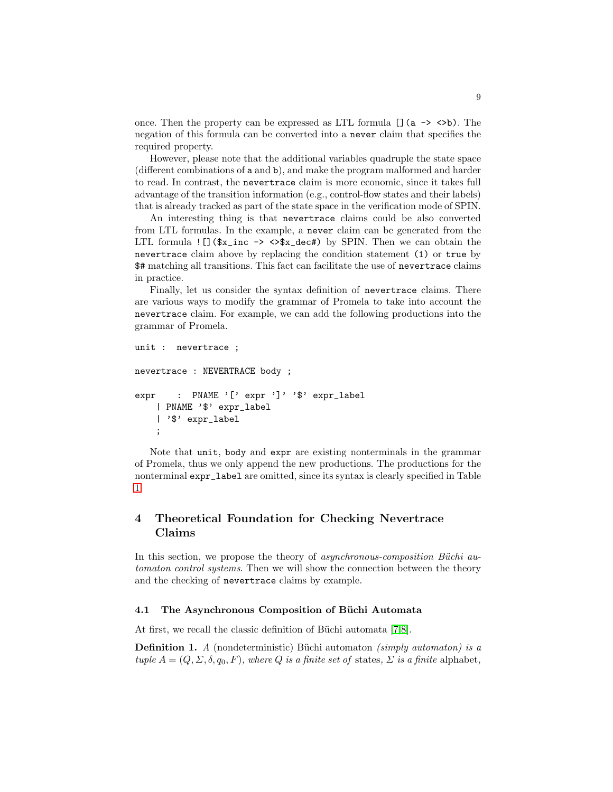once. Then the property can be expressed as LTL formula  $[] (a \rightarrow \langle >b \rangle)$ . The negation of this formula can be converted into a never claim that specifies the required property.

However, please note that the additional variables quadruple the state space (different combinations of a and b), and make the program malformed and harder to read. In contrast, the nevertrace claim is more economic, since it takes full advantage of the transition information (e.g., control-flow states and their labels) that is already tracked as part of the state space in the verification mode of SPIN.

An interesting thing is that nevertrace claims could be also converted from LTL formulas. In the example, a never claim can be generated from the LTL formula  $\text{!} \square \text{($\texttt{\$x\_inc$} \rightarrow \texttt{>}\texttt{\$x\_dec#)}$ by SPIN. Then we can obtain the}$ nevertrace claim above by replacing the condition statement (1) or true by \$# matching all transitions. This fact can facilitate the use of nevertrace claims in practice.

Finally, let us consider the syntax definition of nevertrace claims. There are various ways to modify the grammar of Promela to take into account the nevertrace claim. For example, we can add the following productions into the grammar of Promela.

```
unit : nevertrace ;
nevertrace : NEVERTRACE body ;
expr : PNAME '[' expr ']' '$' expr_label
    | PNAME '$' expr_label
    | '$' expr_label
    ;
```
Note that unit, body and expr are existing nonterminals in the grammar of Promela, thus we only append the new productions. The productions for the nonterminal expr\_label are omitted, since its syntax is clearly specified in Table [1.](#page-4-2)

# <span id="page-8-0"></span>4 Theoretical Foundation for Checking Nevertrace Claims

In this section, we propose the theory of asynchronous-composition Büchi automaton control systems. Then we will show the connection between the theory and the checking of nevertrace claims by example.

### 4.1 The Asynchronous Composition of Büchi Automata

At first, we recall the classic definition of Büchi automata  $[7,8]$  $[7,8]$ .

**Definition 1.** A (nondeterministic) Büchi automaton (simply automaton) is a tuple  $A = (Q, \Sigma, \delta, q_0, F)$ , where Q is a finite set of states,  $\Sigma$  is a finite alphabet,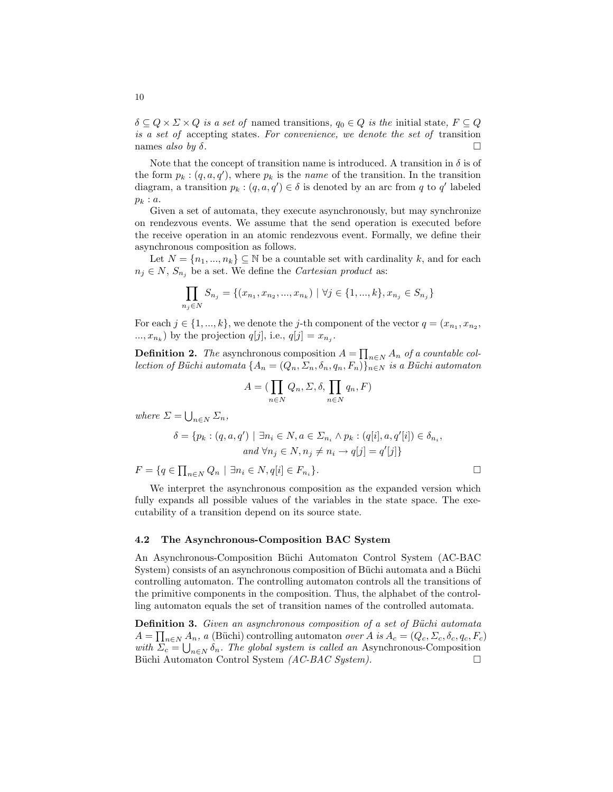$\delta \subseteq Q \times \Sigma \times Q$  is a set of named transitions,  $q_0 \in Q$  is the initial state,  $F \subseteq Q$ is a set of accepting states. For convenience, we denote the set of transition names also by  $\delta$ .

Note that the concept of transition name is introduced. A transition in  $\delta$  is of the form  $p_k$ :  $(q, a, q')$ , where  $p_k$  is the *name* of the transition. In the transition diagram, a transition  $p_k : (q, a, q') \in \delta$  is denoted by an arc from q to q' labeled  $p_k : a$ .

Given a set of automata, they execute asynchronously, but may synchronize on rendezvous events. We assume that the send operation is executed before the receive operation in an atomic rendezvous event. Formally, we define their asynchronous composition as follows.

Let  $N = \{n_1, ..., n_k\} \subseteq \mathbb{N}$  be a countable set with cardinality k, and for each  $n_i \in N$ ,  $S_{n_i}$  be a set. We define the *Cartesian product* as:

$$
\prod_{n_j \in N} S_{n_j} = \{(x_{n_1}, x_{n_2}, ..., x_{n_k}) \mid \forall j \in \{1, ..., k\}, x_{n_j} \in S_{n_j}\}
$$

For each  $j \in \{1, ..., k\}$ , we denote the j-th component of the vector  $q = (x_{n_1}, x_{n_2},$  $..., x_{n_k}$ ) by the projection  $q[j]$ , i.e.,  $q[j] = x_{n_j}$ .

**Definition 2.** The asynchronous composition  $A = \prod_{n \in N} A_n$  of a countable collection of Büchi automata  $\{A_n = (Q_n, \Sigma_n, \delta_n, q_n, F_n)\}_{n \in \mathbb{N}}$  is a Büchi automaton

$$
A = (\prod_{n \in N} Q_n, \Sigma, \delta, \prod_{n \in N} q_n, F)
$$

where  $\Sigma = \bigcup_{n \in N} \Sigma_n$ ,

$$
\delta = \{ p_k : (q, a, q') \mid \exists n_i \in N, a \in \Sigma_{n_i} \land p_k : (q[i], a, q'[i]) \in \delta_{n_i},
$$
  
and  $\forall n_j \in N, n_j \neq n_i \rightarrow q[j] = q'[j] \}$ 

 $F = \{q \in \prod_{n \in N} Q_n \mid \exists n_i \in N, q[i] \in F_{n_i}\}$ }.

We interpret the asynchronous composition as the expanded version which fully expands all possible values of the variables in the state space. The executability of a transition depend on its source state.

#### 4.2 The Asynchronous-Composition BAC System

An Asynchronous-Composition Büchi Automaton Control System (AC-BAC) System) consists of an asynchronous composition of Büchi automata and a Büchi controlling automaton. The controlling automaton controls all the transitions of the primitive components in the composition. Thus, the alphabet of the controlling automaton equals the set of transition names of the controlled automata.

Definition 3. Given an asynchronous composition of a set of Büchi automata  $A = \prod_{n \in N} A_n$ , a (Büchi) controlling automaton *over A is*  $A_c = (Q_c, \Sigma_c, \delta_c, q_c, F_c)$ with  $\Sigma_c = \bigcup_{n \in \mathbb{N}} \delta_n$ . The global system is called an Asynchronous-Composition Büchi Automaton Control System (AC-BAC System).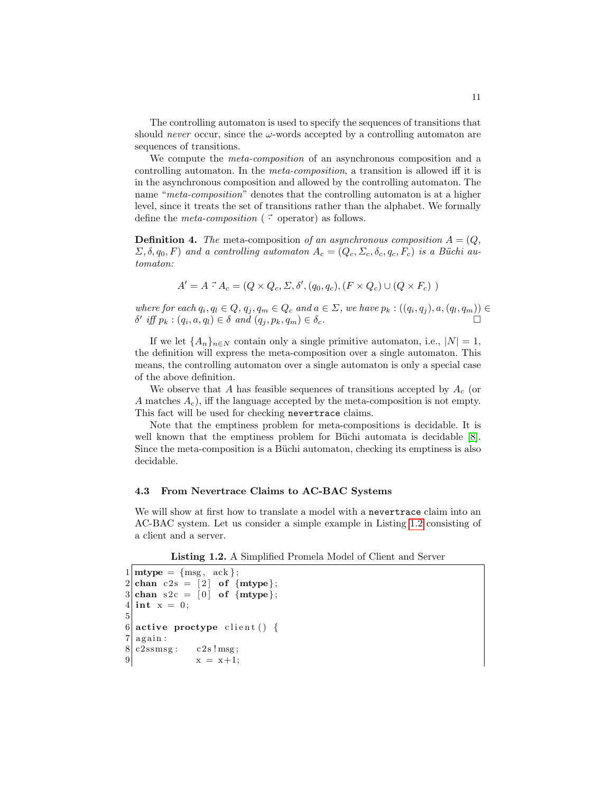The controlling automaton is used to specify the sequences of transitions that should *never* occur, since the  $\omega$ -words accepted by a controlling automaton are sequences of transitions.

We compute the *meta-composition* of an asynchronous composition and a controlling automaton. In the meta-composition, a transition is allowed iff it is in the asynchronous composition and allowed by the controlling automaton. The name "*meta-composition*" denotes that the controlling automaton is at a higher level, since it treats the set of transitions rather than the alphabet. We formally define the *meta-composition* ( $\vec{\cdot}$  operator) as follows.

**Definition 4.** The meta-composition of an asynchronous composition  $A = (Q, \mathcal{L})$  $(\Sigma, \delta, q_0, F)$  and a controlling automaton  $A_c = (Q_c, \Sigma_c, \delta_c, q_c, F_c)$  is a Büchi automaton:

$$
A' = A \stackrel{\rightarrow}{\cdot} A_c = (Q \times Q_c, \Sigma, \delta', (q_0, q_c), (F \times Q_c) \cup (Q \times F_c))
$$

where for each  $q_i, q_l \in Q$ ,  $q_j, q_m \in Q_c$  and  $a \in \Sigma$ , we have  $p_k : ((q_i, q_j), a, (q_l, q_m)) \in$  $\delta'$  iff  $p_k : (q_i, a, q_l) \in \delta$  and  $(q_j, p_k, q_m) \in \delta_c$ .

If we let  $\{A_n\}_{n\in\mathbb{N}}$  contain only a single primitive automaton, i.e.,  $|N|=1$ , the definition will express the meta-composition over a single automaton. This means, the controlling automaton over a single automaton is only a special case of the above definition.

We observe that A has feasible sequences of transitions accepted by  $A_c$  (or A matches  $A_c$ , iff the language accepted by the meta-composition is not empty. This fact will be used for checking nevertrace claims.

Note that the emptiness problem for meta-compositions is decidable. It is well known that the emptiness problem for Büchi automata is decidable  $[8]$ . Since the meta-composition is a Büchi automaton, checking its emptiness is also decidable.

### 4.3 From Nevertrace Claims to AC-BAC Systems

We will show at first how to translate a model with a nevertrace claim into an AC-BAC system. Let us consider a simple example in Listing [1.2](#page-10-0) consisting of a client and a server.

Listing 1.2. A Simplified Promela Model of Client and Server

```
1 \vert \text{mtype} = \{ \text{msg}, \text{ack} \};2 \vert \text{ chan } c2s = [2] \text{ of } \{ \text{mtype } \};3 \text{ chan } s2c = [0] \text{ of } \{mtype\};4 int x = 0;
5
6 active proctype client () {
7 | again:8 \vert \text{c}2 \text{ssmsg} : \text{c}2 \text{s} \cdot \text{msg};9 x = x+1;
```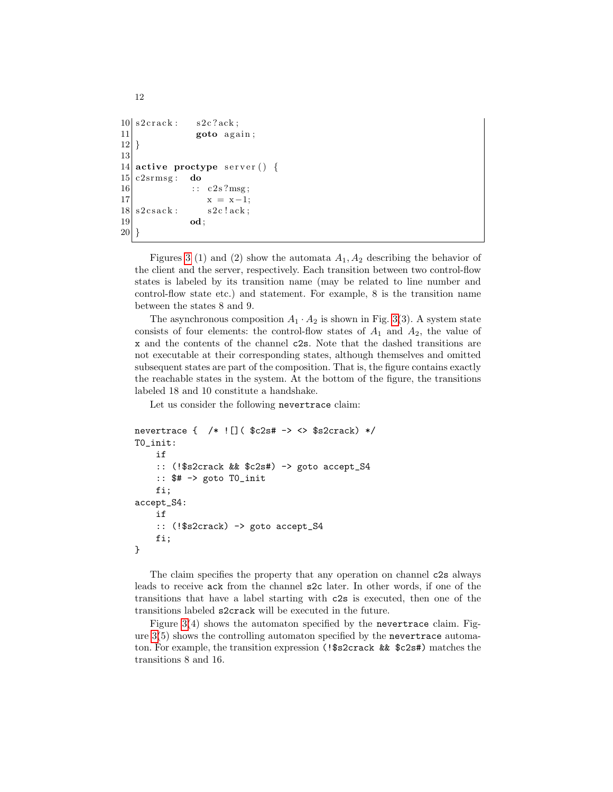```
10 \mid s2 \text{crack} : s2 \text{c} ? \text{ack};
11 goto again;
|12|13
14 active proctype server () {
15| c2srmsg: do
16 :: c2s?msg;|x| = x-1;18 \mid s2 \text{csack}: s2 \text{c} ! \text{ack};19 od;
20 }
```
12

Figures [3](#page-17-0) (1) and (2) show the automata  $A_1, A_2$  describing the behavior of the client and the server, respectively. Each transition between two control-flow states is labeled by its transition name (may be related to line number and control-flow state etc.) and statement. For example, 8 is the transition name between the states 8 and 9.

The asynchronous composition  $A_1 \cdot A_2$  is shown in Fig. [3\(](#page-17-0)3). A system state consists of four elements: the control-flow states of  $A_1$  and  $A_2$ , the value of x and the contents of the channel c2s. Note that the dashed transitions are not executable at their corresponding states, although themselves and omitted subsequent states are part of the composition. That is, the figure contains exactly the reachable states in the system. At the bottom of the figure, the transitions labeled 18 and 10 constitute a handshake.

Let us consider the following nevertrace claim:

```
nevertrace { /* ![]( $c2s# -> <> $s2crack) */
T0_init:
    if
    :: (!$s2crack && $c2s#) -> goto accept_S4
    :: $# -> goto T0_init
    fi;
accept_S4:
    if
    :: (!$s2crack) -> goto accept_S4
    fi;
}
```
The claim specifies the property that any operation on channel c2s always leads to receive ack from the channel s2c later. In other words, if one of the transitions that have a label starting with c2s is executed, then one of the transitions labeled s2crack will be executed in the future.

Figure  $3(4)$  shows the automaton specified by the nevertrace claim. Figure [3\(](#page-17-0)5) shows the controlling automaton specified by the nevertrace automaton. For example, the transition expression (!\$s2crack && \$c2s#) matches the transitions 8 and 16.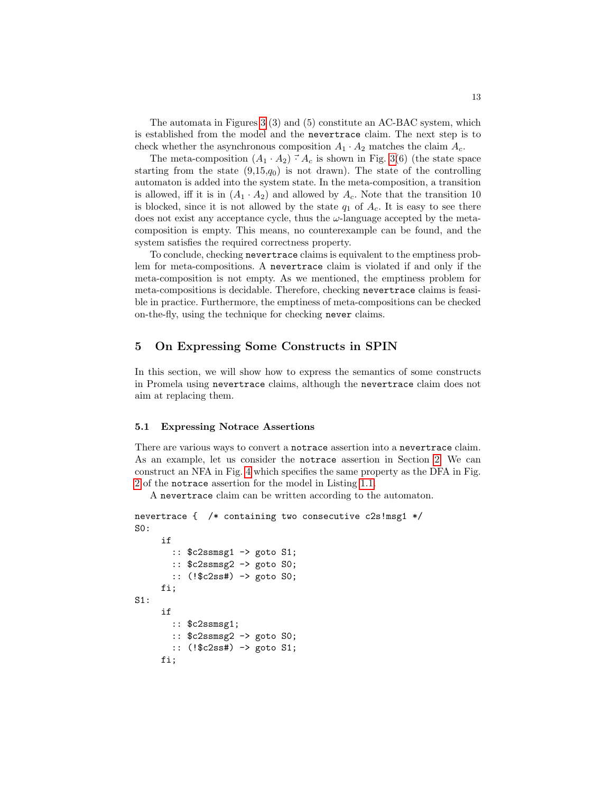The automata in Figures [3](#page-17-0) (3) and (5) constitute an AC-BAC system, which is established from the model and the nevertrace claim. The next step is to check whether the asynchronous composition  $A_1 \cdot A_2$  matches the claim  $A_c$ .

The meta-composition  $(A_1 \cdot A_2) \cdot A_c$  is shown in Fig. [3\(](#page-17-0)6) (the state space starting from the state  $(9,15,q_0)$  is not drawn). The state of the controlling automaton is added into the system state. In the meta-composition, a transition is allowed, iff it is in  $(A_1 \cdot A_2)$  and allowed by  $A_c$ . Note that the transition 10 is blocked, since it is not allowed by the state  $q_1$  of  $A_c$ . It is easy to see there does not exist any acceptance cycle, thus the  $\omega$ -language accepted by the metacomposition is empty. This means, no counterexample can be found, and the system satisfies the required correctness property.

To conclude, checking nevertrace claims is equivalent to the emptiness problem for meta-compositions. A nevertrace claim is violated if and only if the meta-composition is not empty. As we mentioned, the emptiness problem for meta-compositions is decidable. Therefore, checking nevertrace claims is feasible in practice. Furthermore, the emptiness of meta-compositions can be checked on-the-fly, using the technique for checking never claims.

## <span id="page-12-0"></span>5 On Expressing Some Constructs in SPIN

In this section, we will show how to express the semantics of some constructs in Promela using nevertrace claims, although the nevertrace claim does not aim at replacing them.

#### 5.1 Expressing Notrace Assertions

There are various ways to convert a notrace assertion into a nevertrace claim. As an example, let us consider the notrace assertion in Section [2.](#page-2-0) We can construct an NFA in Fig. [4](#page-17-1) which specifies the same property as the DFA in Fig. [2](#page-3-1) of the notrace assertion for the model in Listing [1.1.](#page-1-0)

A nevertrace claim can be written according to the automaton.

```
nevertrace { /* containing two consecutive c2s!msg1 */
S0:
     if
       :: $c2ssmsg1 -> goto S1;
       :: $c2ssmsg2 -> goto S0;
       :: (!$c2ss#) -> goto S0;
     fi;
S1:
     if
       :: $c2ssmsg1;
       :: $c2ssmsg2 -> goto S0;
       :: (!$c2ss#) -> goto S1;
     fi;
```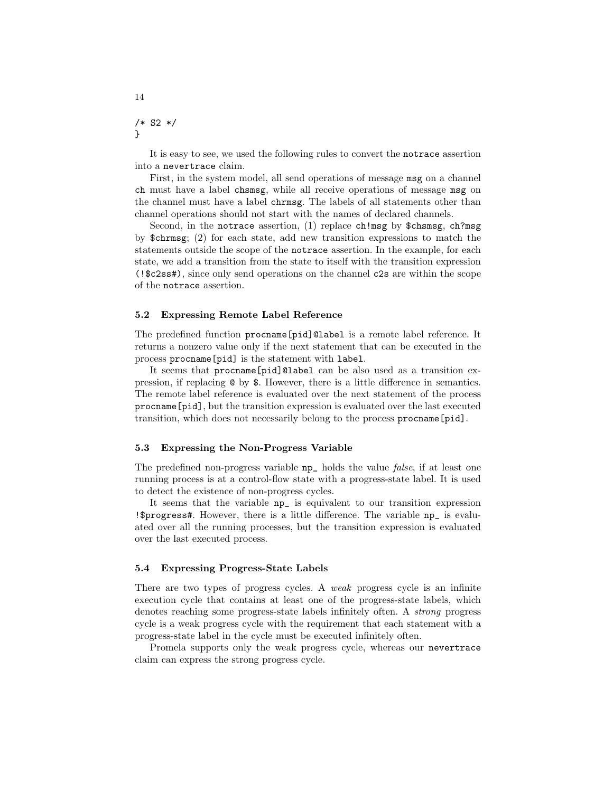/\* S2 \*/ }

It is easy to see, we used the following rules to convert the notrace assertion into a nevertrace claim.

First, in the system model, all send operations of message msg on a channel ch must have a label chsmsg, while all receive operations of message msg on the channel must have a label chrmsg. The labels of all statements other than channel operations should not start with the names of declared channels.

Second, in the notrace assertion, (1) replace ch!msg by \$chsmsg, ch?msg by \$chrmsg; (2) for each state, add new transition expressions to match the statements outside the scope of the notrace assertion. In the example, for each state, we add a transition from the state to itself with the transition expression (!\$c2ss#), since only send operations on the channel c2s are within the scope of the notrace assertion.

### 5.2 Expressing Remote Label Reference

The predefined function procname[pid]@label is a remote label reference. It returns a nonzero value only if the next statement that can be executed in the process procname[pid] is the statement with label.

It seems that procname[pid]@label can be also used as a transition expression, if replacing @ by \$. However, there is a little difference in semantics. The remote label reference is evaluated over the next statement of the process procname[pid], but the transition expression is evaluated over the last executed transition, which does not necessarily belong to the process procname [pid].

#### 5.3 Expressing the Non-Progress Variable

The predefined non-progress variable np\_ holds the value false, if at least one running process is at a control-flow state with a progress-state label. It is used to detect the existence of non-progress cycles.

It seems that the variable np\_ is equivalent to our transition expression !\$progress#. However, there is a little difference. The variable np\_ is evaluated over all the running processes, but the transition expression is evaluated over the last executed process.

### 5.4 Expressing Progress-State Labels

There are two types of progress cycles. A weak progress cycle is an infinite execution cycle that contains at least one of the progress-state labels, which denotes reaching some progress-state labels infinitely often. A strong progress cycle is a weak progress cycle with the requirement that each statement with a progress-state label in the cycle must be executed infinitely often.

Promela supports only the weak progress cycle, whereas our nevertrace claim can express the strong progress cycle.

14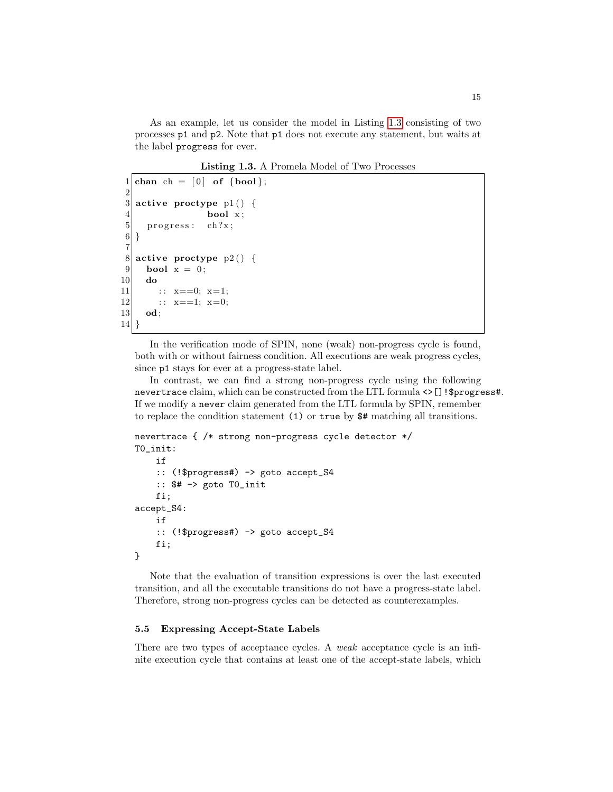As an example, let us consider the model in Listing [1.3](#page-14-0) consisting of two processes p1 and p2. Note that p1 does not execute any statement, but waits at the label progress for ever.

Listing 1.3. A Promela Model of Two Processes

```
1 chan ch = [0] of \{bool\};2
 3 active proctype p1() {
 \begin{array}{c|c} 4 & \text{bool } x; \\ 5 & \text{progress: } ch?x; \end{array}progress: ch?x;
 6}
 \begin{array}{c} 7 \\ 8 \end{array}active proctype p2() {
 9 bool x = 0;
10 do
11 :: x == 0; x == 1;|12| : x == 1; x == 0;13 od;
14}
```
In the verification mode of SPIN, none (weak) non-progress cycle is found, both with or without fairness condition. All executions are weak progress cycles, since p1 stays for ever at a progress-state label.

In contrast, we can find a strong non-progress cycle using the following nevertrace claim, which can be constructed from the LTL formula <>[]!\$progress#. If we modify a never claim generated from the LTL formula by SPIN, remember to replace the condition statement (1) or true by \$# matching all transitions.

```
nevertrace { /* strong non-progress cycle detector */
T0_init:
    if
    :: (!$progress#) -> goto accept_S4
    :: $# -> goto T0_init
    fi;
accept_S4:
    if
    :: (!$progress#) -> goto accept_S4
    fi;
}
```
Note that the evaluation of transition expressions is over the last executed transition, and all the executable transitions do not have a progress-state label. Therefore, strong non-progress cycles can be detected as counterexamples.

### 5.5 Expressing Accept-State Labels

There are two types of acceptance cycles. A *weak* acceptance cycle is an infinite execution cycle that contains at least one of the accept-state labels, which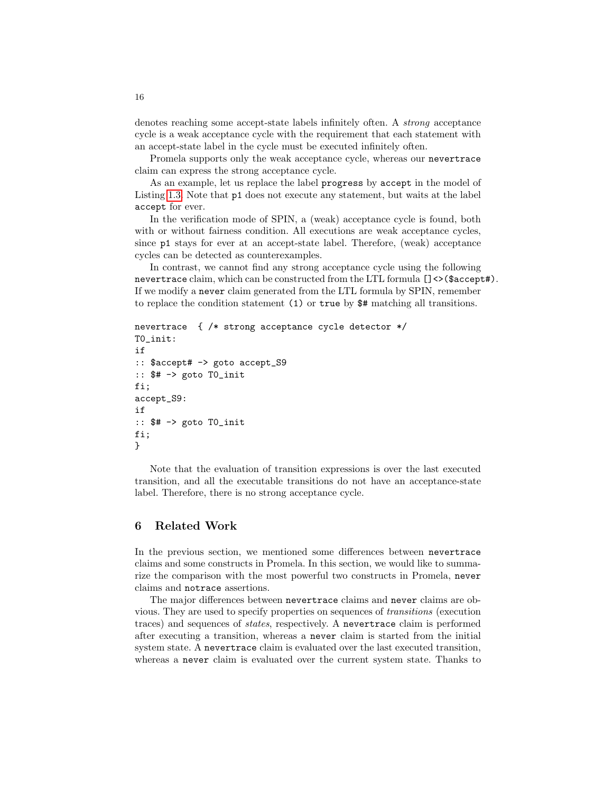denotes reaching some accept-state labels infinitely often. A strong acceptance cycle is a weak acceptance cycle with the requirement that each statement with an accept-state label in the cycle must be executed infinitely often.

Promela supports only the weak acceptance cycle, whereas our nevertrace claim can express the strong acceptance cycle.

As an example, let us replace the label progress by accept in the model of Listing [1.3.](#page-14-0) Note that p1 does not execute any statement, but waits at the label accept for ever.

In the verification mode of SPIN, a (weak) acceptance cycle is found, both with or without fairness condition. All executions are weak acceptance cycles, since p1 stays for ever at an accept-state label. Therefore, (weak) acceptance cycles can be detected as counterexamples.

In contrast, we cannot find any strong acceptance cycle using the following nevertrace claim, which can be constructed from the LTL formula  $[] \diamondsuit$ (\$accept#). If we modify a never claim generated from the LTL formula by SPIN, remember to replace the condition statement (1) or true by \$# matching all transitions.

```
nevertrace { /* strong acceptance cycle detector */
T0_init:
if
:: $accept# -> goto accept_S9
:: $# -> goto T0_init
fi;
accept_S9:
if
:: $# -> goto T0_init
fi;
}
```
Note that the evaluation of transition expressions is over the last executed transition, and all the executable transitions do not have an acceptance-state label. Therefore, there is no strong acceptance cycle.

## <span id="page-15-0"></span>6 Related Work

In the previous section, we mentioned some differences between nevertrace claims and some constructs in Promela. In this section, we would like to summarize the comparison with the most powerful two constructs in Promela, never claims and notrace assertions.

The major differences between nevertrace claims and never claims are obvious. They are used to specify properties on sequences of transitions (execution traces) and sequences of states, respectively. A nevertrace claim is performed after executing a transition, whereas a never claim is started from the initial system state. A nevertrace claim is evaluated over the last executed transition, whereas a never claim is evaluated over the current system state. Thanks to

16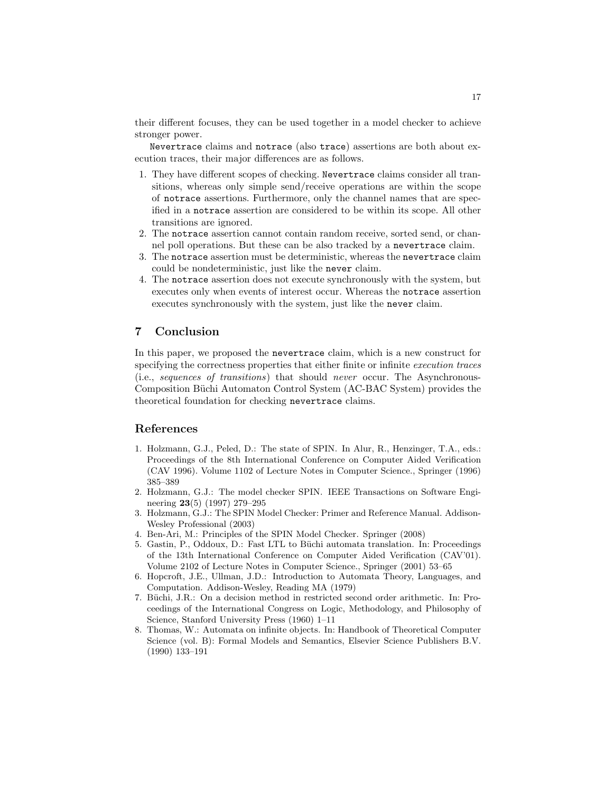their different focuses, they can be used together in a model checker to achieve stronger power.

Nevertrace claims and notrace (also trace) assertions are both about execution traces, their major differences are as follows.

- 1. They have different scopes of checking. Nevertrace claims consider all transitions, whereas only simple send/receive operations are within the scope of notrace assertions. Furthermore, only the channel names that are specified in a notrace assertion are considered to be within its scope. All other transitions are ignored.
- 2. The notrace assertion cannot contain random receive, sorted send, or channel poll operations. But these can be also tracked by a nevertrace claim.
- 3. The notrace assertion must be deterministic, whereas the nevertrace claim could be nondeterministic, just like the never claim.
- 4. The notrace assertion does not execute synchronously with the system, but executes only when events of interest occur. Whereas the notrace assertion executes synchronously with the system, just like the never claim.

# <span id="page-16-3"></span>7 Conclusion

In this paper, we proposed the nevertrace claim, which is a new construct for specifying the correctness properties that either finite or infinite execution traces (i.e., sequences of transitions) that should never occur. The Asynchronous-Composition Büchi Automaton Control System (AC-BAC System) provides the theoretical foundation for checking nevertrace claims.

## References

- <span id="page-16-0"></span>1. Holzmann, G.J., Peled, D.: The state of SPIN. In Alur, R., Henzinger, T.A., eds.: Proceedings of the 8th International Conference on Computer Aided Verification (CAV 1996). Volume 1102 of Lecture Notes in Computer Science., Springer (1996) 385–389
- <span id="page-16-1"></span>2. Holzmann, G.J.: The model checker SPIN. IEEE Transactions on Software Engineering 23(5) (1997) 279–295
- <span id="page-16-2"></span>3. Holzmann, G.J.: The SPIN Model Checker: Primer and Reference Manual. Addison-Wesley Professional (2003)
- <span id="page-16-4"></span>4. Ben-Ari, M.: Principles of the SPIN Model Checker. Springer (2008)
- <span id="page-16-5"></span>5. Gastin, P., Oddoux, D.: Fast LTL to Büchi automata translation. In: Proceedings of the 13th International Conference on Computer Aided Verification (CAV'01). Volume 2102 of Lecture Notes in Computer Science., Springer (2001) 53–65
- <span id="page-16-6"></span>6. Hopcroft, J.E., Ullman, J.D.: Introduction to Automata Theory, Languages, and Computation. Addison-Wesley, Reading MA (1979)
- <span id="page-16-7"></span>7. Büchi, J.R.: On a decision method in restricted second order arithmetic. In: Proceedings of the International Congress on Logic, Methodology, and Philosophy of Science, Stanford University Press (1960) 1–11
- <span id="page-16-8"></span>8. Thomas, W.: Automata on infinite objects. In: Handbook of Theoretical Computer Science (vol. B): Formal Models and Semantics, Elsevier Science Publishers B.V. (1990) 133–191